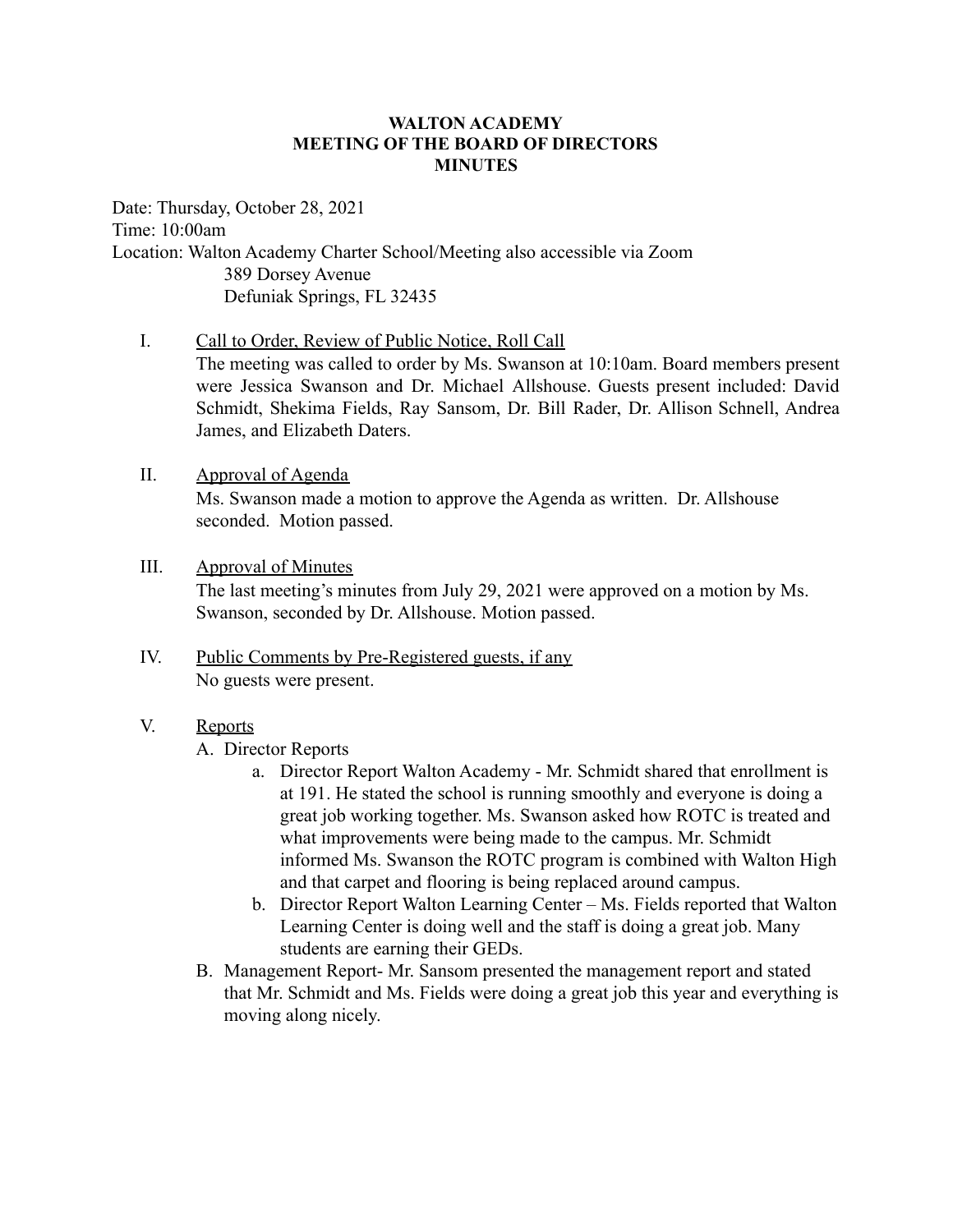#### **WALTON ACADEMY MEETING OF THE BOARD OF DIRECTORS MINUTES**

Date: Thursday, October 28, 2021 Time: 10:00am Location: Walton Academy Charter School/Meeting also accessible via Zoom 389 Dorsey Avenue Defuniak Springs, FL 32435

#### I. Call to Order, Review of Public Notice, Roll Call

The meeting was called to order by Ms. Swanson at 10:10am. Board members present were Jessica Swanson and Dr. Michael Allshouse. Guests present included: David Schmidt, Shekima Fields, Ray Sansom, Dr. Bill Rader, Dr. Allison Schnell, Andrea James, and Elizabeth Daters.

II. Approval of Agenda

Ms. Swanson made a motion to approve the Agenda as written. Dr. Allshouse seconded. Motion passed.

III. Approval of Minutes

The last meeting's minutes from July 29, 2021 were approved on a motion by Ms. Swanson, seconded by Dr. Allshouse. Motion passed.

- IV. Public Comments by Pre-Registered guests, if any No guests were present.
- V. Reports

A. Director Reports

- a. Director Report Walton Academy Mr. Schmidt shared that enrollment is at 191. He stated the school is running smoothly and everyone is doing a great job working together. Ms. Swanson asked how ROTC is treated and what improvements were being made to the campus. Mr. Schmidt informed Ms. Swanson the ROTC program is combined with Walton High and that carpet and flooring is being replaced around campus.
- b. Director Report Walton Learning Center Ms. Fields reported that Walton Learning Center is doing well and the staff is doing a great job. Many students are earning their GEDs.
- B. Management Report- Mr. Sansom presented the management report and stated that Mr. Schmidt and Ms. Fields were doing a great job this year and everything is moving along nicely.